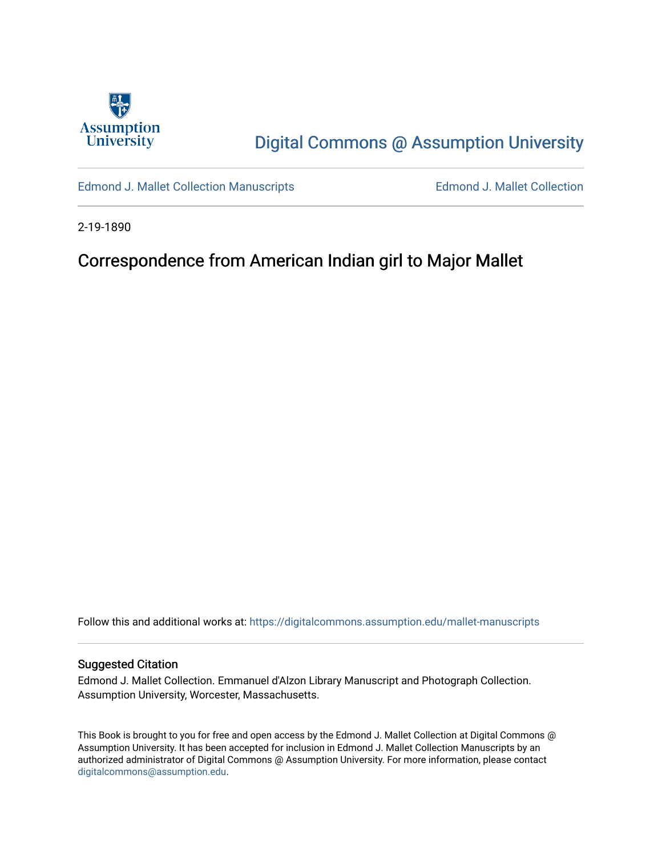

# [Digital Commons @ Assumption University](https://digitalcommons.assumption.edu/)

[Edmond J. Mallet Collection Manuscripts](https://digitalcommons.assumption.edu/mallet-manuscripts) **Edmond J. Mallet Collection** 

2-19-1890

## Correspondence from American Indian girl to Major Mallet

Follow this and additional works at: [https://digitalcommons.assumption.edu/mallet-manuscripts](https://digitalcommons.assumption.edu/mallet-manuscripts?utm_source=digitalcommons.assumption.edu%2Fmallet-manuscripts%2F75&utm_medium=PDF&utm_campaign=PDFCoverPages) 

#### Suggested Citation

Edmond J. Mallet Collection. Emmanuel d'Alzon Library Manuscript and Photograph Collection. Assumption University, Worcester, Massachusetts.

This Book is brought to you for free and open access by the Edmond J. Mallet Collection at Digital Commons @ Assumption University. It has been accepted for inclusion in Edmond J. Mallet Collection Manuscripts by an authorized administrator of Digital Commons @ Assumption University. For more information, please contact [digitalcommons@assumption.edu](mailto:digitalcommons@assumption.edu).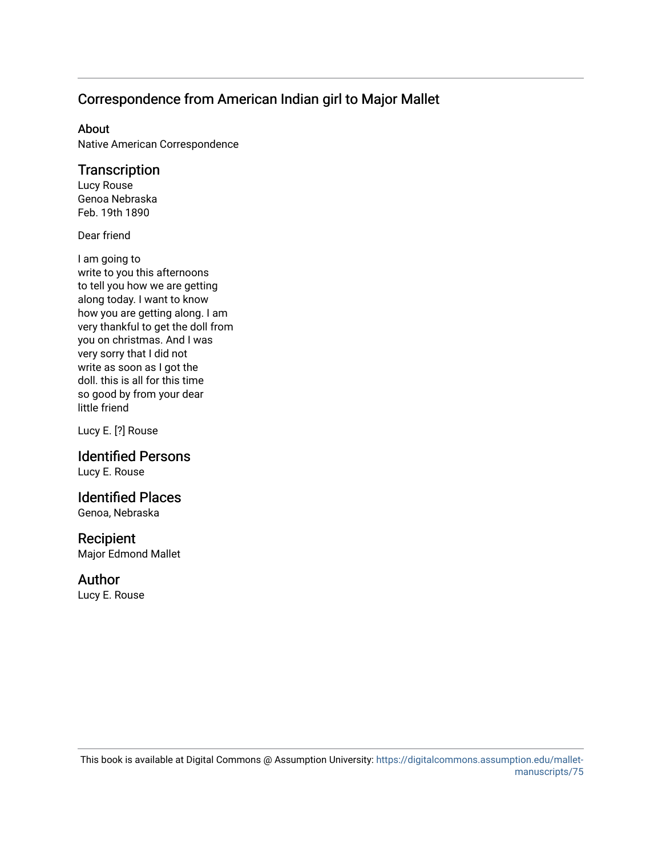### Correspondence from American Indian girl to Major Mallet

#### About

Native American Correspondence

### **Transcription**

Lucy Rouse Genoa Nebraska Feb. 19th 1890

Dear friend

I am going to write to you this afternoons to tell you how we are getting along today. I want to know how you are getting along. I am very thankful to get the doll from you on christmas. And I was very sorry that I did not write as soon as I got the doll. this is all for this time so good by from your dear little friend

Lucy E. [?] Rouse

# Identified Persons

Lucy E. Rouse

### Identified Places

Genoa, Nebraska

#### Recipient

Major Edmond Mallet

#### Author

Lucy E. Rouse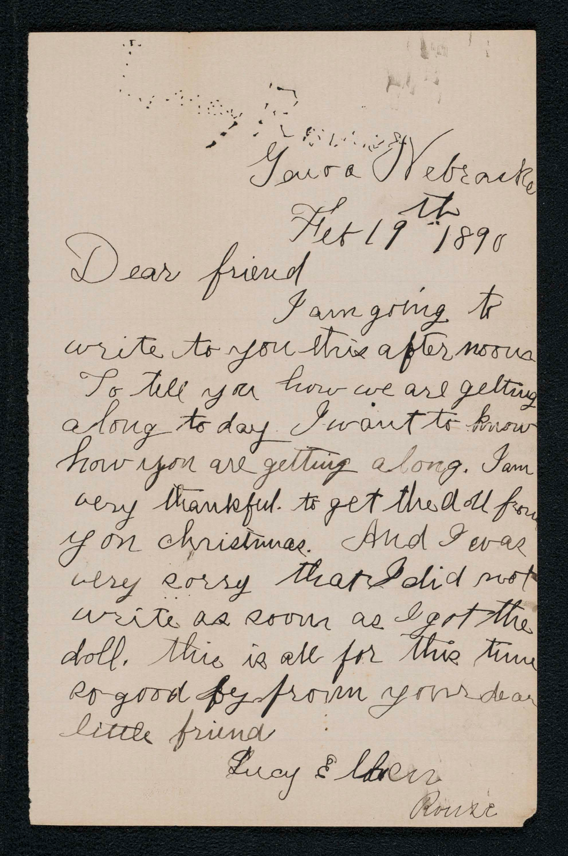A MARY S Se de l'articulier de l'étre de la de  $H_{\ell}$ Fet 19 1890 Dear friend I am going to write to you this afternoons To till you how we are getting along to day I want to know now you are getting along. Sam acry thankful. to get the dal for y on christimas. And I evas were every that I did not write as soon as egot the doll. this is all for this time Rogood by from your dear little friend